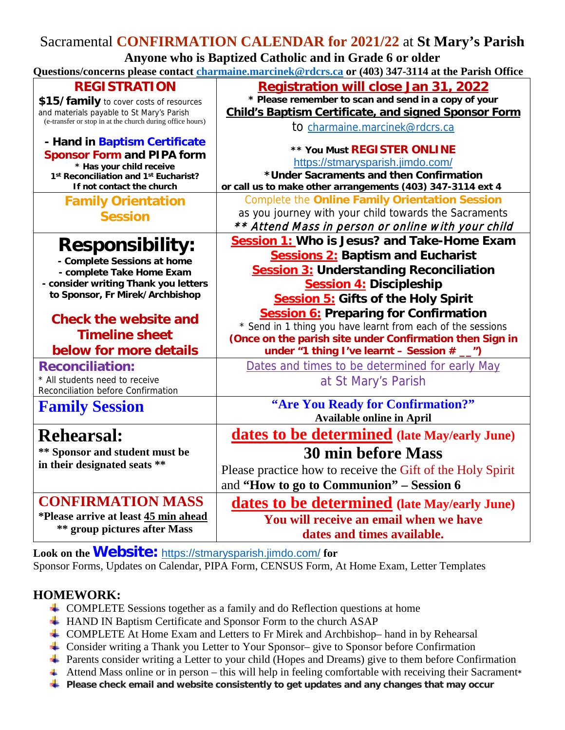## Sacramental **CONFIRMATION CALENDAR for 2021/22** at **St Mary's Parish Anyone who is Baptized Catholic and in Grade 6 or older Questions/concerns please contact [charmaine.marcinek@rdcrs.ca](mailto:charmaine.marcinek@rdcrs.ca) or (403) 347-3114 at the Parish Office REGISTRATION \$15/family** to cover costs of resources and materials payable to St Mary's Parish (e-transfer or stop in at the church during office hours) **- Hand in Baptism Certificate Sponsor Form and PIPA form \* Has your child receive 1st Reconciliation and 1st Eucharist? If not contact the church Registration will close Jan 31, 2022 \* Please remember to scan and send in a copy of your Child's Baptism Certificate, and signed Sponsor Form**  to [charmaine.marcinek@rdcrs.ca](mailto:charmaine.marcinek@rdcrs.ca) **\*\* You Must REGISTER ONLINE** <https://stmarysparish.jimdo.com/> **\*Under Sacraments and then Confirmation or call us to make other arrangements (403) 347-3114 ext 4 Family Orientation Session** Complete the **Online Family Orientation Session** as you journey with your child towards the Sacraments \*\* Attend Mass in person or online with your child **Responsibility: - Complete Sessions at home - complete Take Home Exam - consider writing Thank you letters to Sponsor, Fr Mirek/Archbishop Check the website and Timeline sheet below for more details Session 1: Who is Jesus? and Take-Home Exam Sessions 2: Baptism and Eucharist Session 3: Understanding Reconciliation Session 4: Discipleship Session 5: Gifts of the Holy Spirit Session 6: Preparing for Confirmation** \* Send in 1 thing you have learnt from each of the sessions **(Once on the parish site under Confirmation then Sign in under "1 thing I've learnt – Session # \_\_") Reconciliation:**  \* All students need to receive Reconciliation before Confirmation Dates and times to be determined for early May at St Mary's Parish **Family Session "Are You Ready for Confirmation?" Available online in April Rehearsal: \*\* Sponsor and student must be in their designated seats \*\* dates to be determined (late May/early June) 30 min before Mass** Please practice how to receive the Gift of the Holy Spirit and **"How to go to Communion" – Session 6 CONFIRMATION MASS \*Please arrive at least 45 min ahead \*\* group pictures after Mass dates to be determined (late May/early June) You will receive an email when we have**

**Look on the Website:** <https://stmarysparish.jimdo.com/> **for** Sponsor Forms, Updates on Calendar, PIPA Form, CENSUS Form, At Home Exam, Letter Templates

## **HOMEWORK:**

- COMPLETE Sessions together as a family and do Reflection questions at home
- HAND IN Baptism Certificate and Sponsor Form to the church ASAP
- COMPLETE At Home Exam and Letters to Fr Mirek and Archbishop– hand in by Rehearsal
- Consider writing a Thank you Letter to Your Sponsor– give to Sponsor before Confirmation
- Parents consider writing a Letter to your child (Hopes and Dreams) give to them before Confirmation

**dates and times available.** 

- Attend Mass online or in person this will help in feeling comfortable with receiving their Sacrament**\***
- **Please check email and website consistently to get updates and any changes that may occur**